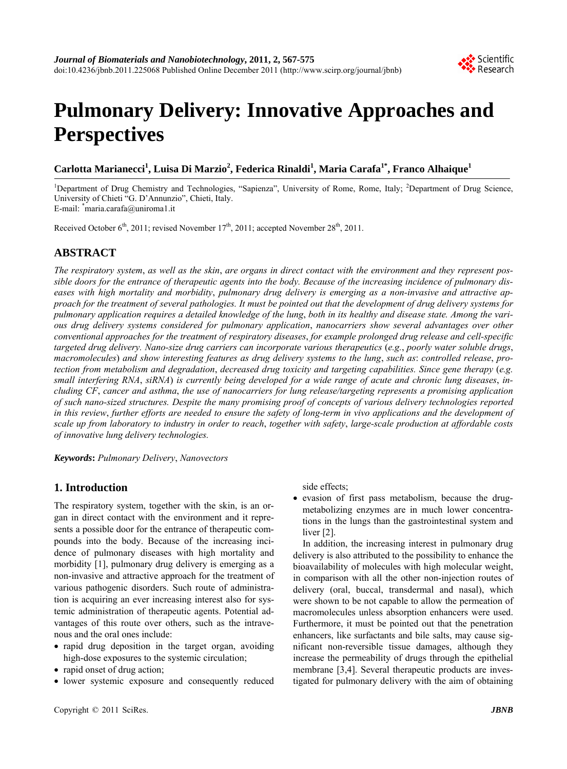

# **Pulmonary Delivery: Innovative Approaches and Perspectives**

**Carlotta Marianecci<sup>1</sup> , Luisa Di Marzio2 , Federica Rinaldi1 , Maria Carafa1\*, Franco Alhaique1**

<sup>1</sup>Department of Drug Chemistry and Technologies, "Sapienza", University of Rome, Rome, Italy; <sup>2</sup>Department of Drug Science, University of Chieti "G. D'Annunzio", Chieti, Italy. E-mail: \* maria.carafa@uniroma1.it

Received October  $6<sup>th</sup>$ , 2011; revised November  $17<sup>th</sup>$ , 2011; accepted November 28<sup>th</sup>, 2011.

## **ABSTRACT**

*The respiratory system*, *as well as the skin*, *are organs in direct contact with the environment and they represent possible doors for the entrance of therapeutic agents into the body. Because of the increasing incidence of pulmonary diseases with high mortality and morbidity*, *pulmonary drug delivery is emerging as a non-invasive and attractive approach for the treatment of several pathologies. It must be pointed out that the development of drug delivery systems for pulmonary application requires a detailed knowledge of the lung*, *both in its healthy and disease state. Among the various drug delivery systems considered for pulmonary application*, *nanocarriers show several advantages over other conventional approaches for the treatment of respiratory diseases*, *for example prolonged drug release and cell-specific targeted drug delivery. Nano-size drug carriers can incorporate various therapeutics* (*e.g.*, *poorly water soluble drugs*, *macromolecules*) *and show interesting features as drug delivery systems to the lung*, *such as*: *controlled release*, *protection from metabolism and degradation*, *decreased drug toxicity and targeting capabilities. Since gene therapy* (*e.g. small interfering RNA*, *siRNA*) *is currently being developed for a wide range of acute and chronic lung diseases*, *including CF*, *cancer and asthma*, *the use of nanocarriers for lung release/targeting represents a promising application of such nano-sized structures. Despite the many promising proof of concepts of various delivery technologies reported in this review*, *further efforts are needed to ensure the safety of long-term in vivo applications and the development of scale up from laboratory to industry in order to reach*, *together with safety*, *large-scale production at affordable costs of innovative lung delivery technologies.* 

*Keywords***:** *Pulmonary Delivery*, *Nanovectors* 

### **1. Introduction**

The respiratory system, together with the skin, is an organ in direct contact with the environment and it represents a possible door for the entrance of therapeutic compounds into the body. Because of the increasing incidence of pulmonary diseases with high mortality and morbidity [1], pulmonary drug delivery is emerging as a non-invasive and attractive approach for the treatment of various pathogenic disorders. Such route of administration is acquiring an ever increasing interest also for systemic administration of therapeutic agents. Potential advantages of this route over others, such as the intravenous and the oral ones include:

- rapid drug deposition in the target organ, avoiding high-dose exposures to the systemic circulation;
- rapid onset of drug action;
- lower systemic exposure and consequently reduced

tions in the lungs than the gastrointestinal system and liver [2].

side effects;

In addition, the increasing interest in pulmonary drug delivery is also attributed to the possibility to enhance the bioavailability of molecules with high molecular weight, in comparison with all the other non-injection routes of delivery (oral, buccal, transdermal and nasal), which were shown to be not capable to allow the permeation of macromolecules unless absorption enhancers were used. Furthermore, it must be pointed out that the penetration enhancers, like surfactants and bile salts, may cause significant non-reversible tissue damages, although they increase the permeability of drugs through the epithelial membrane [3,4]. Several therapeutic products are investigated for pulmonary delivery with the aim of obtaining

 evasion of first pass metabolism, because the drugmetabolizing enzymes are in much lower concentra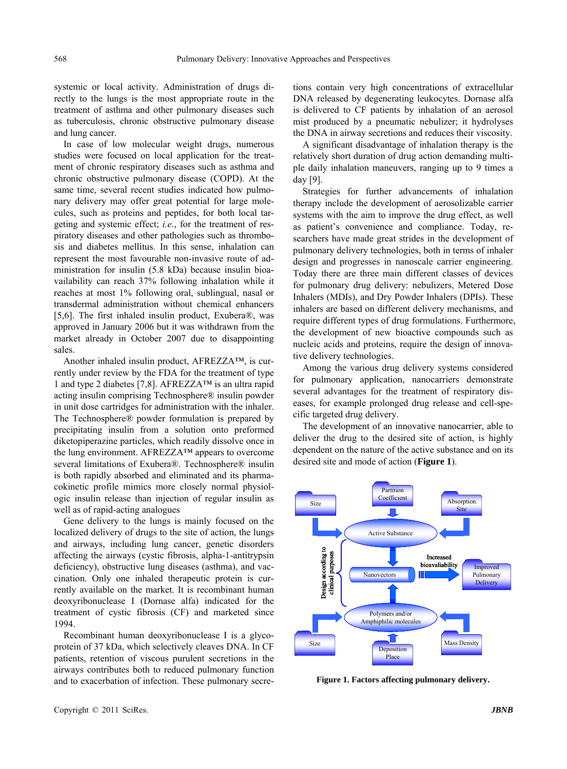systemic or local activity. Administration of drugs directly to the lungs is the most appropriate route in the treatment of asthma and other pulmonary diseases such as tuberculosis, chronic obstructive pulmonary disease and lung cancer.

In case of low molecular weight drugs, numerous studies were focused on local application for the treatment of chronic respiratory diseases such as asthma and chronic obstructive pulmonary disease (COPD). At the same time, several recent studies indicated how pulmonary delivery may offer great potential for large molecules, such as proteins and peptides, for both local targeting and systemic effect; *i.e.*, for the treatment of respiratory diseases and other pathologies such as thrombosis and diabetes mellitus. In this sense, inhalation can represent the most favourable non-invasive route of administration for insulin (5.8 kDa) because insulin bioavailability can reach 37% following inhalation while it reaches at most 1% following oral, sublingual, nasal or transdermal administration without chemical enhancers [5,6]. The first inhaled insulin product, Exubera®, was approved in January 2006 but it was withdrawn from the market already in October 2007 due to disappointing sales.

Another inhaled insulin product, AFREZZA™, is currently under review by the FDA for the treatment of type 1 and type 2 diabetes [7,8]. AFREZZA™ is an ultra rapid acting insulin comprising Technosphere® insulin powder in unit dose cartridges for administration with the inhaler. The Technosphere® powder formulation is prepared by precipitating insulin from a solution onto preformed diketopiperazine particles, which readily dissolve once in the lung environment. AFREZZA™ appears to overcome several limitations of Exubera®. Technosphere® insulin is both rapidly absorbed and eliminated and its pharmacokinetic profile mimics more closely normal physiologic insulin release than injection of regular insulin as well as of rapid-acting analogues

Gene delivery to the lungs is mainly focused on the localized delivery of drugs to the site of action, the lungs and airways, including lung cancer, genetic disorders affecting the airways (cystic fibrosis, alpha-1-antitrypsin deficiency), obstructive lung diseases (asthma), and vaccination. Only one inhaled therapeutic protein is currently available on the market. It is recombinant human deoxyribonuclease I (Dornase alfa) indicated for the treatment of cystic fibrosis (CF) and marketed since 1994.

Recombinant human deoxyribonuclease I is a glycoprotein of 37 kDa, which selectively cleaves DNA. In CF patients, retention of viscous purulent secretions in the airways contributes both to reduced pulmonary function and to exacerbation of infection. These pulmonary secretions contain very high concentrations of extracellular DNA released by degenerating leukocytes. Dornase alfa is delivered to CF patients by inhalation of an aerosol mist produced by a pneumatic nebulizer; it hydrolyses the DNA in airway secretions and reduces their viscosity.

A significant disadvantage of inhalation therapy is the relatively short duration of drug action demanding multiple daily inhalation maneuvers, ranging up to 9 times a day [9].

Strategies for further advancements of inhalation therapy include the development of aerosolizable carrier systems with the aim to improve the drug effect, as well as patient's convenience and compliance. Today, researchers have made great strides in the development of pulmonary delivery technologies, both in terms of inhaler design and progresses in nanoscale carrier engineering. Today there are three main different classes of devices for pulmonary drug delivery: nebulizers, Metered Dose Inhalers (MDIs), and Dry Powder Inhalers (DPIs). These inhalers are based on different delivery mechanisms, and require different types of drug formulations. Furthermore, the development of new bioactive compounds such as nucleic acids and proteins, require the design of innovative delivery technologies.

Among the various drug delivery systems considered for pulmonary application, nanocarriers demonstrate several advantages for the treatment of respiratory diseases, for example prolonged drug release and cell-specific targeted drug delivery.

The development of an innovative nanocarrier, able to deliver the drug to the desired site of action, is highly dependent on the nature of the active substance and on its desired site and mode of action (**Figure 1**).



**Figure 1. Factors affecting pulmonary delivery.**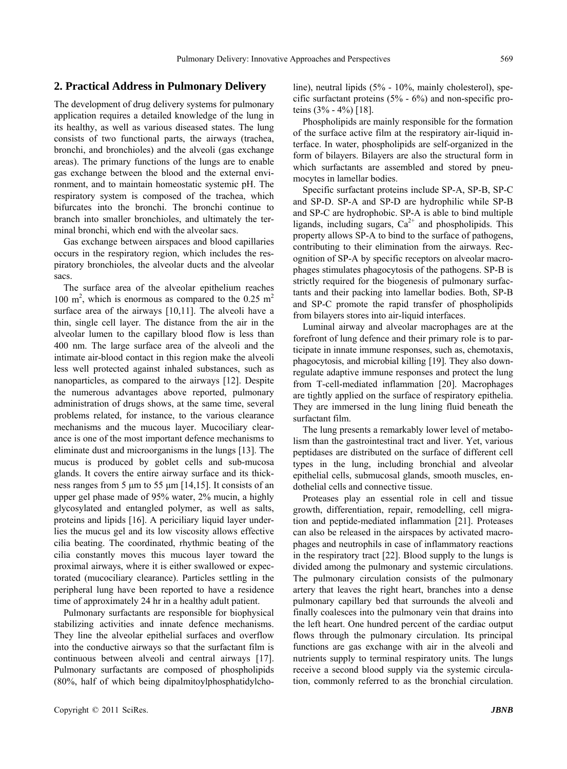#### **2. Practical Address in Pulmonary Delivery**

The development of drug delivery systems for pulmonary application requires a detailed knowledge of the lung in its healthy, as well as various diseased states. The lung consists of two functional parts, the airways (trachea, bronchi, and bronchioles) and the alveoli (gas exchange areas). The primary functions of the lungs are to enable gas exchange between the blood and the external environment, and to maintain homeostatic systemic pH. The respiratory system is composed of the trachea, which bifurcates into the bronchi. The bronchi continue to branch into smaller bronchioles, and ultimately the terminal bronchi, which end with the alveolar sacs.

Gas exchange between airspaces and blood capillaries occurs in the respiratory region, which includes the respiratory bronchioles, the alveolar ducts and the alveolar sacs.

The surface area of the alveolar epithelium reaches 100 m<sup>2</sup>, which is enormous as compared to the 0.25 m<sup>2</sup> surface area of the airways [10,11]. The alveoli have a thin, single cell layer. The distance from the air in the alveolar lumen to the capillary blood flow is less than 400 nm. The large surface area of the alveoli and the intimate air-blood contact in this region make the alveoli less well protected against inhaled substances, such as nanoparticles, as compared to the airways [12]. Despite the numerous advantages above reported, pulmonary administration of drugs shows, at the same time, several problems related, for instance, to the various clearance mechanisms and the mucous layer. Mucociliary clearance is one of the most important defence mechanisms to eliminate dust and microorganisms in the lungs [13]. The mucus is produced by goblet cells and sub-mucosa glands. It covers the entire airway surface and its thickness ranges from 5 μm to 55 μm [14,15]. It consists of an upper gel phase made of 95% water, 2% mucin, a highly glycosylated and entangled polymer, as well as salts, proteins and lipids [16]. A periciliary liquid layer underlies the mucus gel and its low viscosity allows effective cilia beating. The coordinated, rhythmic beating of the cilia constantly moves this mucous layer toward the proximal airways, where it is either swallowed or expectorated (mucociliary clearance). Particles settling in the peripheral lung have been reported to have a residence time of approximately 24 hr in a healthy adult patient.

Pulmonary surfactants are responsible for biophysical stabilizing activities and innate defence mechanisms. They line the alveolar epithelial surfaces and overflow into the conductive airways so that the surfactant film is continuous between alveoli and central airways [17]. Pulmonary surfactants are composed of phospholipids (80%, half of which being dipalmitoylphosphatidylcholine), neutral lipids (5% - 10%, mainly cholesterol), specific surfactant proteins (5% - 6%) and non-specific proteins (3% - 4%) [18].

Phospholipids are mainly responsible for the formation of the surface active film at the respiratory air-liquid interface. In water, phospholipids are self-organized in the form of bilayers. Bilayers are also the structural form in which surfactants are assembled and stored by pneumocytes in lamellar bodies.

Specific surfactant proteins include SP-A, SP-B, SP-C and SP-D. SP-A and SP-D are hydrophilic while SP-B and SP-C are hydrophobic. SP-A is able to bind multiple ligands, including sugars,  $Ca^{2+}$  and phospholipids. This property allows SP-A to bind to the surface of pathogens, contributing to their elimination from the airways. Recognition of SP-A by specific receptors on alveolar macrophages stimulates phagocytosis of the pathogens. SP-B is strictly required for the biogenesis of pulmonary surfactants and their packing into lamellar bodies. Both, SP-B and SP-C promote the rapid transfer of phospholipids from bilayers stores into air-liquid interfaces.

Luminal airway and alveolar macrophages are at the forefront of lung defence and their primary role is to participate in innate immune responses, such as, chemotaxis, phagocytosis, and microbial killing [19]. They also downregulate adaptive immune responses and protect the lung from T-cell-mediated inflammation [20]. Macrophages are tightly applied on the surface of respiratory epithelia. They are immersed in the lung lining fluid beneath the surfactant film.

The lung presents a remarkably lower level of metabolism than the gastrointestinal tract and liver. Yet, various peptidases are distributed on the surface of different cell types in the lung, including bronchial and alveolar epithelial cells, submucosal glands, smooth muscles, endothelial cells and connective tissue.

Proteases play an essential role in cell and tissue growth, differentiation, repair, remodelling, cell migration and peptide-mediated inflammation [21]. Proteases can also be released in the airspaces by activated macrophages and neutrophils in case of inflammatory reactions in the respiratory tract [22]. Blood supply to the lungs is divided among the pulmonary and systemic circulations. The pulmonary circulation consists of the pulmonary artery that leaves the right heart, branches into a dense pulmonary capillary bed that surrounds the alveoli and finally coalesces into the pulmonary vein that drains into the left heart. One hundred percent of the cardiac output flows through the pulmonary circulation. Its principal functions are gas exchange with air in the alveoli and nutrients supply to terminal respiratory units. The lungs receive a second blood supply via the systemic circulation, commonly referred to as the bronchial circulation.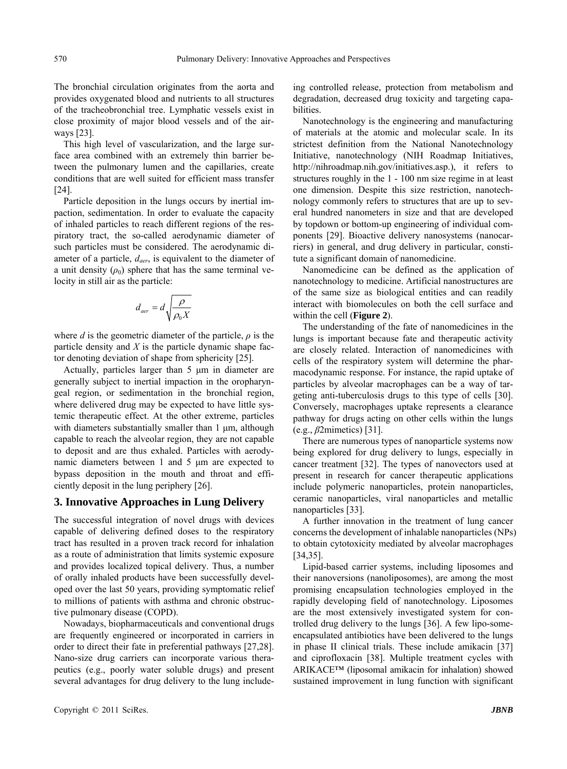The bronchial circulation originates from the aorta and provides oxygenated blood and nutrients to all structures of the tracheobronchial tree. Lymphatic vessels exist in close proximity of major blood vessels and of the airways [23].

This high level of vascularization, and the large surface area combined with an extremely thin barrier between the pulmonary lumen and the capillaries, create conditions that are well suited for efficient mass transfer [24].

Particle deposition in the lungs occurs by inertial impaction, sedimentation. In order to evaluate the capacity of inhaled particles to reach different regions of the respiratory tract, the so-called aerodynamic diameter of such particles must be considered. The aerodynamic diameter of a particle, *daer*, is equivalent to the diameter of a unit density  $(\rho_0)$  sphere that has the same terminal velocity in still air as the particle:

$$
d_{\textit{aer}} = d \sqrt{\frac{\rho}{\rho_0 X}}
$$

where *d* is the geometric diameter of the particle,  $\rho$  is the particle density and *X* is the particle dynamic shape factor denoting deviation of shape from sphericity [25].

Actually, particles larger than 5 μm in diameter are generally subject to inertial impaction in the oropharyngeal region, or sedimentation in the bronchial region, where delivered drug may be expected to have little systemic therapeutic effect. At the other extreme, particles with diameters substantially smaller than 1 μm, although capable to reach the alveolar region, they are not capable to deposit and are thus exhaled. Particles with aerodynamic diameters between 1 and 5 μm are expected to bypass deposition in the mouth and throat and efficiently deposit in the lung periphery [26].

#### **3. Innovative Approaches in Lung Delivery**

The successful integration of novel drugs with devices capable of delivering defined doses to the respiratory tract has resulted in a proven track record for inhalation as a route of administration that limits systemic exposure and provides localized topical delivery. Thus, a number of orally inhaled products have been successfully developed over the last 50 years, providing symptomatic relief to millions of patients with asthma and chronic obstructive pulmonary disease (COPD).

Nowadays, biopharmaceuticals and conventional drugs are frequently engineered or incorporated in carriers in order to direct their fate in preferential pathways [27,28]. Nano-size drug carriers can incorporate various therapeutics (e.g., poorly water soluble drugs) and present several advantages for drug delivery to the lung includeing controlled release, protection from metabolism and degradation, decreased drug toxicity and targeting capabilities.

Nanotechnology is the engineering and manufacturing of materials at the atomic and molecular scale. In its strictest definition from the National Nanotechnology Initiative, nanotechnology (NIH Roadmap Initiatives, http://nihroadmap.nih.gov/initiatives.asp.), it refers to structures roughly in the 1 - 100 nm size regime in at least one dimension. Despite this size restriction, nanotechnology commonly refers to structures that are up to several hundred nanometers in size and that are developed by topdown or bottom-up engineering of individual components [29]. Bioactive delivery nanosystems (nanocarriers) in general, and drug delivery in particular, constitute a significant domain of nanomedicine.

Nanomedicine can be defined as the application of nanotechnology to medicine. Artificial nanostructures are of the same size as biological entities and can readily interact with biomolecules on both the cell surface and within the cell (**Figure 2**).

The understanding of the fate of nanomedicines in the lungs is important because fate and therapeutic activity are closely related. Interaction of nanomedicines with cells of the respiratory system will determine the pharmacodynamic response. For instance, the rapid uptake of particles by alveolar macrophages can be a way of targeting anti-tuberculosis drugs to this type of cells [30]. Conversely, macrophages uptake represents a clearance pathway for drugs acting on other cells within the lungs (e.g., *β*2mimetics) [31].

There are numerous types of nanoparticle systems now being explored for drug delivery to lungs, especially in cancer treatment [32]. The types of nanovectors used at present in research for cancer therapeutic applications include polymeric nanoparticles, protein nanoparticles, ceramic nanoparticles, viral nanoparticles and metallic nanoparticles [33].

A further innovation in the treatment of lung cancer concerns the development of inhalable nanoparticles (NPs) to obtain cytotoxicity mediated by alveolar macrophages [34,35].

Lipid-based carrier systems, including liposomes and their nanoversions (nanoliposomes), are among the most promising encapsulation technologies employed in the rapidly developing field of nanotechnology. Liposomes are the most extensively investigated system for controlled drug delivery to the lungs [36]. A few lipo-someencapsulated antibiotics have been delivered to the lungs in phase II clinical trials. These include amikacin [37] and ciprofloxacin [38]. Multiple treatment cycles with ARIKACE™ (liposomal amikacin for inhalation) showed sustained improvement in lung function with significant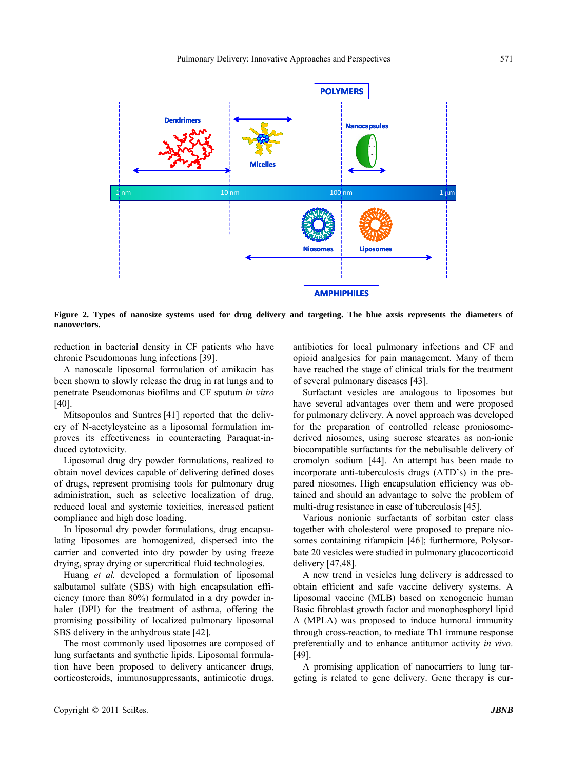

**Figure 2. Types of nanosize systems used for drug delivery and targeting. The blue axsis represents the diameters of nanovectors.** 

reduction in bacterial density in CF patients who have chronic Pseudomonas lung infections [39].

A nanoscale liposomal formulation of amikacin has been shown to slowly release the drug in rat lungs and to penetrate Pseudomonas biofilms and CF sputum *in vitro* [40].

[Mitsopoulos](http://www.hindawi.com/30387408/) and [Suntres](http://www.hindawi.com/60398061/) [41] reported that the delivery of N-acetylcysteine as a liposomal formulation improves its effectiveness in counteracting Paraquat-induced cytotoxicity.

Liposomal drug dry powder formulations, realized to obtain novel devices capable of delivering defined doses of drugs, represent promising tools for pulmonary drug administration, such as selective localization of drug, reduced local and systemic toxicities, increased patient compliance and high dose loading.

In liposomal dry powder formulations, drug encapsulating liposomes are homogenized, dispersed into the carrier and converted into dry powder by using freeze drying, spray drying or supercritical fluid technologies.

Huang *et al.* developed a formulation of liposomal salbutamol sulfate (SBS) with high encapsulation efficiency (more than 80%) formulated in a dry powder inhaler (DPI) for the treatment of asthma, offering the promising possibility of localized pulmonary liposomal SBS delivery in the anhydrous state [42].

The most commonly used liposomes are composed of lung surfactants and synthetic lipids. Liposomal formulation have been proposed to delivery anticancer drugs, corticosteroids, immunosuppressants, antimicotic drugs,

antibiotics for local pulmonary infections and CF and opioid analgesics for pain management. Many of them have reached the stage of clinical trials for the treatment of several pulmonary diseases [43].

Surfactant vesicles are analogous to liposomes but have several advantages over them and were proposed for pulmonary delivery. A novel approach was developed for the preparation of controlled release proniosomederived niosomes, using sucrose stearates as non-ionic biocompatible surfactants for the nebulisable delivery of cromolyn sodium [44]. An attempt has been made to incorporate anti-tuberculosis drugs (ATD's) in the prepared niosomes. High encapsulation efficiency was obtained and should an advantage to solve the problem of multi-drug resistance in case of tuberculosis [45].

Various nonionic surfactants of sorbitan ester class together with cholesterol were proposed to prepare niosomes containing rifampicin [46]; furthermore, Polysorbate 20 vesicles were studied in pulmonary glucocorticoid delivery [47,48].

A new trend in vesicles lung delivery is addressed to obtain efficient and safe vaccine delivery systems. A liposomal vaccine (MLB) based on xenogeneic human Basic fibroblast growth factor and monophosphoryl lipid A (MPLA) was proposed to induce humoral immunity through cross-reaction, to mediate Th1 immune response preferentially and to enhance antitumor activity *in vivo*. [49].

A promising application of nanocarriers to lung targeting is related to gene delivery. Gene therapy is cur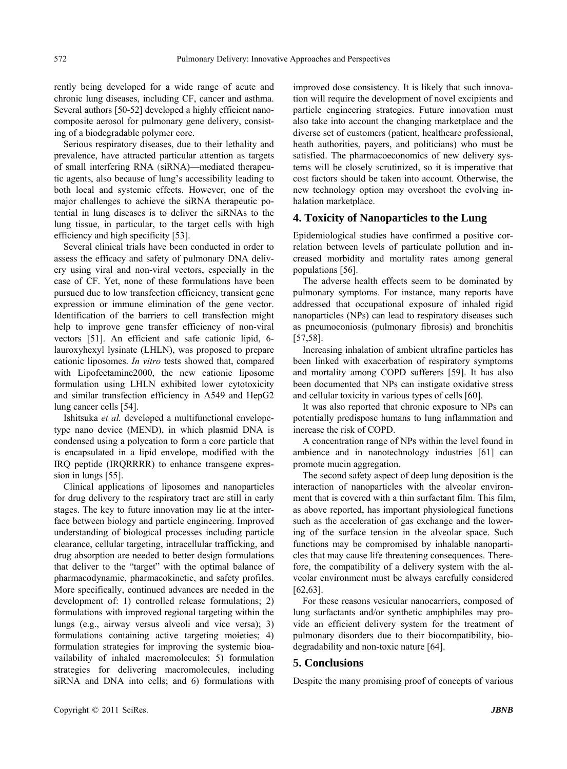rently being developed for a wide range of acute and chronic lung diseases, including CF, cancer and asthma. Several authors [50-52] developed a highly efficient nanocomposite aerosol for pulmonary gene delivery, consisting of a biodegradable polymer core.

Serious respiratory diseases, due to their lethality and prevalence, have attracted particular attention as targets of small interfering RNA (siRNA)—mediated therapeutic agents, also because of lung's accessibility leading to both local and systemic effects. However, one of the major challenges to achieve the siRNA therapeutic potential in lung diseases is to deliver the siRNAs to the lung tissue, in particular, to the target cells with high efficiency and high specificity [53].

Several clinical trials have been conducted in order to assess the efficacy and safety of pulmonary DNA delivery using viral and non-viral vectors, especially in the case of CF. Yet, none of these formulations have been pursued due to low transfection efficiency, transient gene expression or immune elimination of the gene vector. Identification of the barriers to cell transfection might help to improve gene transfer efficiency of non-viral vectors [51]. An efficient and safe cationic lipid, 6 lauroxyhexyl lysinate (LHLN), was proposed to prepare cationic liposomes. *In vitro* tests showed that, compared with Lipofectamine2000, the new cationic liposome formulation using LHLN exhibited lower cytotoxicity and similar transfection efficiency in A549 and HepG2 lung cancer cells [54].

Ishitsuka *et al.* developed a multifunctional envelopetype nano device (MEND), in which plasmid DNA is condensed using a polycation to form a core particle that is encapsulated in a lipid envelope, modified with the IRQ peptide (IRQRRRR) to enhance transgene expression in lungs [55].

Clinical applications of liposomes and nanoparticles for drug delivery to the respiratory tract are still in early stages. The key to future innovation may lie at the interface between biology and particle engineering. Improved understanding of biological processes including particle clearance, cellular targeting, intracellular trafficking, and drug absorption are needed to better design formulations that deliver to the "target" with the optimal balance of pharmacodynamic, pharmacokinetic, and safety profiles. More specifically, continued advances are needed in the development of: 1) controlled release formulations; 2) formulations with improved regional targeting within the lungs (e.g., airway versus alveoli and vice versa); 3) formulations containing active targeting moieties; 4) formulation strategies for improving the systemic bioavailability of inhaled macromolecules; 5) formulation strategies for delivering macromolecules, including siRNA and DNA into cells; and 6) formulations with

improved dose consistency. It is likely that such innovation will require the development of novel excipients and particle engineering strategies. Future innovation must also take into account the changing marketplace and the diverse set of customers (patient, healthcare professional, heath authorities, payers, and politicians) who must be satisfied. The pharmacoeconomics of new delivery systems will be closely scrutinized, so it is imperative that cost factors should be taken into account. Otherwise, the new technology option may overshoot the evolving inhalation marketplace.

#### **4. Toxicity of Nanoparticles to the Lung**

Epidemiological studies have confirmed a positive correlation between levels of particulate pollution and increased morbidity and mortality rates among general populations [56].

The adverse health effects seem to be dominated by pulmonary symptoms. For instance, many reports have addressed that occupational exposure of inhaled rigid nanoparticles (NPs) can lead to respiratory diseases such as pneumoconiosis (pulmonary fibrosis) and bronchitis [57,58].

Increasing inhalation of ambient ultrafine particles has been linked with exacerbation of respiratory symptoms and mortality among COPD sufferers [59]. It has also been documented that NPs can instigate oxidative stress and cellular toxicity in various types of cells [60].

It was also reported that chronic exposure to NPs can potentially predispose humans to lung inflammation and increase the risk of COPD.

A concentration range of NPs within the level found in ambience and in nanotechnology industries [61] can promote mucin aggregation.

The second safety aspect of deep lung deposition is the interaction of nanoparticles with the alveolar environment that is covered with a thin surfactant film. This film, as above reported, has important physiological functions such as the acceleration of gas exchange and the lowering of the surface tension in the alveolar space. Such functions may be compromised by inhalable nanoparticles that may cause life threatening consequences. Therefore, the compatibility of a delivery system with the alveolar environment must be always carefully considered [62,63].

For these reasons vesicular nanocarriers, composed of lung surfactants and/or synthetic amphiphiles may provide an efficient delivery system for the treatment of pulmonary disorders due to their biocompatibility, biodegradability and non-toxic nature [64].

#### **5. Conclusions**

Despite the many promising proof of concepts of various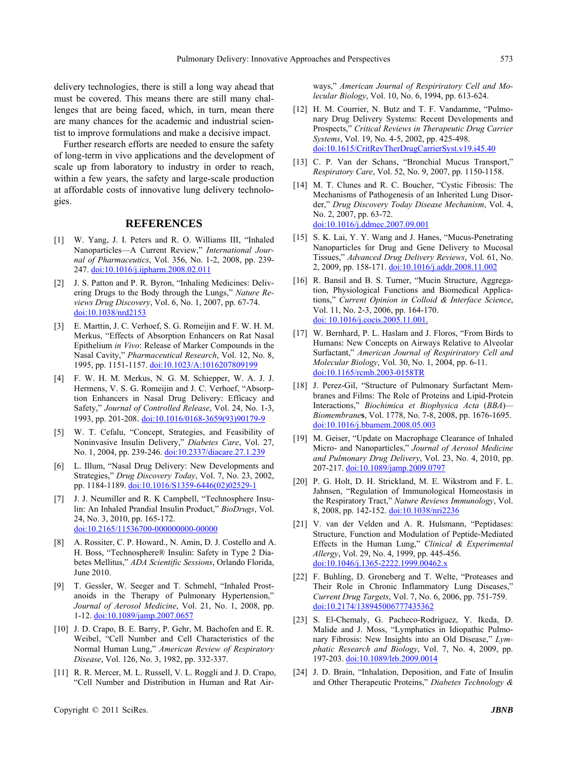delivery technologies, there is still a long way ahead that must be covered. This means there are still many challenges that are being faced, which, in turn, mean there are many chances for the academic and industrial scientist to improve formulations and make a decisive impact.

Further research efforts are needed to ensure the safety of long-term in vivo applications and the development of scale up from laboratory to industry in order to reach, within a few years, the safety and large-scale production at affordable costs of innovative lung delivery technologies.

#### **REFERENCES**

- [1] W. Yang, J. I. Peters and R. O. Williams III, "Inhaled Nanoparticles—A Current Review," *International Journal of Pharmaceutics*, Vol. 356, No. 1-2, 2008, pp. 239- 247. [doi:10.1016/j.ijpharm.2008.02.011](http://dx.doi.org/10.1016/j.ijpharm.2008.02.011)
- [2] J. S. Patton and P. R. Byron, "Inhaling Medicines: Delivering Drugs to the Body through the Lungs," *Nature Reviews Drug Discovery*, Vol. 6, No. 1, 2007, pp. 67-74. [doi:10.1038/nrd2153](http://dx.doi.org/10.1038/nrd2153)
- [3] E. Marttin, J. C. Verhoef, S. G. Romeijin and F. W. H. M. Merkus, "Effects of Absorption Enhancers on Rat Nasal Epithelium *in Vivo*: Release of Marker Compounds in the Nasal Cavity," *Pharmaceutical Research*, Vol. 12, No. 8, 1995, pp. 1151-1157. [doi:10.1023/A:1016207809199](http://dx.doi.org/10.1023/A:1016207809199)
- [4] F. W. H. M. Merkus, N. G. M. Schiepper, W. A. J. J. Hermens, V. S. G. Romeijin and J. C. Verhoef, "Absorption Enhancers in Nasal Drug Delivery: Efficacy and Safety," *Journal of Controlled Release*, Vol. 24, No. 1-3, 1993, pp. 201-208. doi:[10.1016/0168-3659\(93\)90179-9](http://www.sciencedirect.com/science/article/pii/0168365993901799)
- [5] W. T. Cefalu, "Concept, Strategies, and Feasibility of Noninvasive Insulin Delivery," *Diabetes Care*, Vol. 27, No. 1, 2004, pp. 239-246. doi:[10.2337/diacare.27.1.239](http://care.diabetesjournals.org/content/27/1/239.long)
- L. Illum, "Nasal Drug Delivery: New Developments and Strategies," *Drug Discovery Today*, Vol. 7, No. 23, 2002, pp. 1184-1189. doi:[10.1016/S1359-6446\(02\)02529-1](http://dx.doi.org/10.1016/S1359-6446(02)02529-1)
- [7] J. J. Neumiller and R. K Campbell, "Technosphere Insulin: An Inhaled Prandial Insulin Product," *BioDrugs*, Vol. 24, No. 3, 2010, pp. 165-172. [doi:10.2165/11536700-000000000-00000](http://dx.doi.org/10.2165/11536700-000000000-00000)
- [8] A. Rossiter, C. P. Howard., N. Amin, D. J. Costello and A. H. Boss, "Technosphere® Insulin: Safety in Type 2 Diabetes Mellitus," *ADA Scientific Sessions*, Orlando Florida, June 2010.
- [9] T. Gessler, W. Seeger and T. Schmehl, "Inhaled Prostanoids in the Therapy of Pulmonary Hypertension," *Journal of Aerosol Medicine*, Vol. 21, No. 1, 2008, pp. 1-12. doi:[10.1089/jamp.2007.0657](http://www.liebertonline.com/doi/abs/10.1089/jamp.2007.0657?url_ver=Z39.88-2003&rfr_id=ori:rid:crossref.org&rfr_dat=cr_pub%3dpubmed)
- [10] J. D. Crapo, B. E. Barry, P. Gehr, M. Bachofen and E. R. Weibel, "Cell Number and Cell Characteristics of the Normal Human Lung," *American Review of Respiratory Disease*, Vol. 126, No. 3, 1982, pp. 332-337.
- [11] R. R. Mercer, M. L. Russell, V. L. Roggli and J. D. Crapo, "Cell Number and Distribution in Human and Rat Air-

ways," *American Journal of Respiriratory Cell and Molecular Biology*, Vol. 10, No. 6, 1994, pp. 613-624.

- [12] H. M. Courrier, N. Butz and T. F. Vandamme, "Pulmonary Drug Delivery Systems: Recent Developments and Prospects," *Critical Reviews in Therapeutic Drug Carrier Systems*, Vol. 19, No. 4-5, 2002, pp. 425-498. doi:[10.1615/CritRevTherDrugCarrierSyst.v19.i45.40](http://www.begellhouse.com/journals/3667c4ae6e8fd136,69e332455d956168,36cf2510466cdf35.html)
- [13] C. P. Van der Schans, "Bronchial Mucus Transport," *Respiratory Care*, Vol. 52, No. 9, 2007, pp. 1150-1158.
- [14] M. T. Clunes and R. C. Boucher, "Cystic Fibrosis: The Mechanisms of Pathogenesis of an Inherited Lung Disorder," *Drug Discovery Today Disease Mechanism*, Vol. 4, No. 2, 2007, pp. 63-72. doi:[10.1016/j.ddmec.2007.09.001](http://dx.crossref.org/10.1016%2Fj.ddmec.2007.09.001)
- [15] S. K. Lai, Y. Y. Wang and J. Hanes, "Mucus-Penetrating Nanoparticles for Drug and Gene Delivery to Mucosal Tissues," *Advanced Drug Delivery Reviews*, Vol. 61, No. 2, 2009, pp. 158-171. [doi:10.1016/j.addr.2008.11.002](http://dx.doi.org/10.1016/j.addr.2008.11.002)
- [16] R. Bansil and B. S. Turner, "Mucin Structure, Aggregation, Physiological Functions and Biomedical Applications," *Current Opinion in Colloid & Interface Science*, Vol. 11, No. 2-3, 2006, pp. 164-170. doi: [10.1016/j.cocis.2005.11.001](http://nanoscience.bu.edu/papers/Bansil_Turner_COICIS_2006.pdf).
- [17] W. Bernhard, P. L. Haslam and J. Floros, "From Birds to Humans: New Concepts on Airways Relative to Alveolar Surfactant," *American Journal of Respiriratory Cell and Molecular Biology*, Vol. 30, No. 1, 2004, pp. 6-11. doi:[10.1165/rcmb.2003-0158TR](http://ajrcmb.atsjournals.org/cgi/content/full/30/1/6)
- [18] J. Perez-Gil, "Structure of Pulmonary Surfactant Membranes and Films: The Role of Proteins and Lipid-Protein Interactions," *Biochimica et Biophysica Acta* (*BBA*)*— Biomembrane***s**, Vol. 1778, No. 7-8, 2008, pp. 1676-1695. doi:[10.1016/j.bbamem.2008.05.003](http://dx.doi.org/10.1016/j.bbamem.2008.05.003)
- [19] M. Geiser, "Update on Macrophage Clearance of Inhaled Micro- and Nanoparticles," *Journal of Aerosol Medicine and Pulmonary Drug Delivery*, Vol. 23, No. 4, 2010, pp. 207-217. [doi:10.1089/jamp.2009.0797](http://dx.doi.org/10.1089/jamp.2009.0797)
- [20] P. G. Holt, D. H. Strickland, M. E. Wikstrom and F. L. Jahnsen, "Regulation of Immunological Homeostasis in the Respiratory Tract," *Nature Reviews Immunology*, Vol. 8, 2008, pp. 142-152. doi[:10.1038/nri2236](http://www.nature.com/nri/journal/v8/n2/abs/nri2236.html)
- [21] V. van der Velden and A. R. Hulsmann, "Peptidases: Structure, Function and Modulation of Peptide-Mediated Effects in the Human Lung," *Clinical & Experimental Allergy*, Vol. 29, No. 4, 1999, pp. 445-456. doi:[10.1046/j.1365-2222.1999.00462.x](http://onlinelibrary.wiley.com/doi/10.1046/j.1365-2222.1999.00462.x/abstract)
- [22] F. Buhling, D. Groneberg and T. Welte, "Proteases and Their Role in Chronic Inflammatory Lung Diseases," *Current Drug Targets*, Vol. 7, No. 6, 2006, pp. 751-759. [doi:10.2174/138945006777435362](http://dx.doi.org/10.2174/138945006777435362)
- [23] S. El-Chemaly, G. Pacheco-Rodriguez, Y. Ikeda, D. Malide and J. Moss, "Lymphatics in Idiopathic Pulmonary Fibrosis: New Insights into an Old Disease," *Lymphatic Research and Biology*, Vol. 7, No. 4, 2009, pp. 197-203. doi[:10.1089/lrb.2009.0014](http://www.ncbi.nlm.nih.gov/pmc/articles/PMC2883488/?tool=pubmed)
- [24] J. D. Brain, "Inhalation, Deposition, and Fate of Insulin and Other Therapeutic Proteins," *Diabetes Technology &*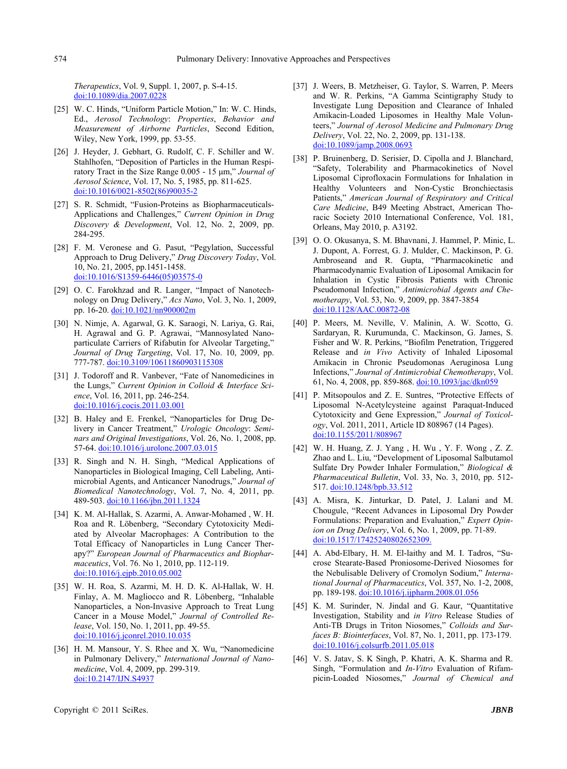*Therapeutics*, Vol. 9, Suppl. 1, 2007, p. S-4-15. doi:10.1089/dia.2007.0228

- [25] W. C. Hinds, "Uniform Particle Motion," In: W. C. Hinds, Ed., *Aerosol Technology*: *Properties*, *Behavior and Measurement of Airborne Particles*, Second Edition, Wiley, New York, 1999, pp. 53-55.
- [26] J. Heyder, J. Gebhart, G. Rudolf, C. F. Schiller and W. Stahlhofen, "Deposition of Particles in the Human Respiratory Tract in the Size Range 0.005 - 15 μm," *Journal of Aerosol Science*, Vol. 17, No. 5, 1985, pp. 811-625. [doi:10.1016/0021-8502\(86\)90035-2](http://dx.doi.org/10.1016/0021-8502(86)90035-2)
- [27] S. R. Schmidt, "Fusion-Proteins as Biopharmaceuticals-Applications and Challenges," *Current Opinion in Drug Discovery & Development*, Vol. 12, No. 2, 2009, pp. 284-295.
- [28] F. M. Veronese and G. Pasut, "Pegylation, Successful Approach to Drug Delivery," *Drug Discovery Today*, Vol. 10, No. 21, 2005, pp.1451-1458. [doi:10.1016/S1359-6446\(05\)03575-0](http://dx.doi.org/10.1016/S1359-6446(05)03575-0)
- [29] O. C. Farokhzad and R. Langer, "Impact of Nanotechnology on Drug Delivery," *Acs Nano*, Vol. 3, No. 1, 2009, pp. 16-20. doi:[10.1021/nn900002m](http://pubs.acs.org/doi/abs/10.1021/nn900002m)
- [30] N. Nimje, A. Agarwal, G. K. Saraogi, N. Lariya, G. Rai, H. Agrawal and G. P. Agrawai, "Mannosylated Nanoparticulate Carriers of Rifabutin for Alveolar Targeting," *Journal of Drug Targeting*, Vol. 17, No. 10, 2009, pp. 777-787. doi[:10.3109/10611860903115308](http://informahealthcare.com/doi/abs/10.3109/10611860903115308)
- [31] J. Todoroff and R. Vanbever, "Fate of Nanomedicines in the Lungs," *Current Opinion in Colloid & Interface Science*, Vol. 16, 2011, pp. 246-254. doi:[10.1016/j.cocis.2011.03.001](http://www.sciencedirect.com/science/article/pii/S1359029411000409)
- [32] B. Haley and E. Frenkel, "Nanoparticles for Drug Delivery in Cancer Treatment," *Urologic Oncology*: *Seminars and Original Investigations*, Vol. 26, No. 1, 2008, pp. 57-64. doi[:10.1016/j.urolonc.2007.03.015](http://www.sciencedirect.com/science/article/pii/S1078143907000907)
- [33] R. Singh and N. H. Singh, "Medical Applications of Nanoparticles in Biological Imaging, Cell Labeling, Antimicrobial Agents, and Anticancer Nanodrugs," *Journal of Biomedical Nanotechnology*, Vol. 7, No. 4, 2011, pp. 489-503. [doi:10.1166/jbn.2011.1324](http://dx.doi.org/10.1166/jbn.2011.1324)
- [34] K. M. Al-Hallak, S. Azarmi, A. Anwar-Mohamed , W. H. Roa and R. Löbenberg, "Secondary Cytotoxicity Mediated by Alveolar Macrophages: A Contribution to the Total Efficacy of Nanoparticles in Lung Cancer Therapy?" *European Journal of Pharmaceutics and Biopharmaceutics*, Vol. 76. No 1, 2010, pp. 112-119. [doi:10.1016/j.ejpb.2010.05.002](http://dx.doi.org/10.1016/j.ejpb.2010.05.002)
- [35] W. H. Roa, S. Azarmi, M. H. D. K. Al-Hallak, W. H. Finlay, A. M. Magliocco and R. Löbenberg, "Inhalable Nanoparticles, a Non-Invasive Approach to Treat Lung Cancer in a Mouse Model," *Journal of Controlled Release*, Vol. 150, No. 1, 2011, pp. 49-55. [doi:10.1016/j.jconrel.2010.10.035](http://dx.doi.org/10.1016/j.jconrel.2010.10.035)
- [36] H. M. Mansour, Y. S. Rhee and X. Wu, "Nanomedicine in Pulmonary Delivery," *International Journal of Nanomedicine*, Vol. 4, 2009, pp. 299-319. doi:[10.2147/IJN.S4937](http://www.dovepress.com/articles.php?article_id=3806)
- [37] J. Weers, B. Metzheiser, G. Taylor, S. Warren, P. Meers and W. R. Perkins, "A Gamma Scintigraphy Study to Investigate Lung Deposition and Clearance of Inhaled Amikacin-Loaded Liposomes in Healthy Male Volunteers," *Journal of Aerosol Medicine and Pulmonary Drug Delivery*, Vol. 22, No. 2, 2009, pp. 131-138. doi:[10.1089/jamp.2008.0693](http://www.liebertonline.com/doi/pdfplus/10.1089/jamp.2008.0693)
- [38] P. Bruinenberg, D. Serisier, D. Cipolla and J. Blanchard, "Safety, Tolerability and Pharmacokinetics of Novel Liposomal Ciprofloxacin Formulations for Inhalation in Healthy Volunteers and Non-Cystic Bronchiectasis Patients," *American Journal of Respiratory and Critical Care Medicine*, B49 Meeting Abstract, American Thoracic Society 2010 International Conference, Vol. 181, Orleans, May 2010, p. A3192.
- [39] O. O. Okusanya, S. M. Bhavnani, J. Hammel, P. Minic, L. J. Dupont, A. Forrest, G. J. Mulder, C. Mackinson, P. G. Ambroseand and R. Gupta, "Pharmacokinetic and Pharmacodynamic Evaluation of Liposomal Amikacin for Inhalation in Cystic Fibrosis Patients with Chronic Pseudomonal Infection," *Antimicrobial Agents and Chemotherapy*, Vol. 53, No. 9, 2009, pp. 3847-3854 doi:[10.1128/AAC.00872-08](http://aac.asm.org/cgi/reprint/53/9/3847)
- [40] P. Meers, M. Neville, V. Malinin, A. W. Scotto, G. Sardaryan, R. Kurumunda, C. Mackinson, G. James, S. Fisher and W. R. Perkins, "Biofilm Penetration, Triggered Release and *in Vivo* Activity of Inhaled Liposomal Amikacin in Chronic Pseudomonas Aeruginosa Lung Infections," *Journal of Antimicrobial Chemotherapy*, Vol. 61, No. 4, 2008, pp. 859-868. doi[:10.1093/jac/dkn059](http://jac.oxfordjournals.org/content/61/4/859.full.pdf+html)
- [41] P. Mitsopoulos and Z. E. Suntres, "Protective Effects of Liposomal N-Acetylcysteine against Paraquat-Induced Cytotoxicity and Gene Expression," *Journal of Toxicology*, Vol. 2011, 2011, Article ID 808967 (14 Pages). doi:[10.1155/2011/808967](http://downloads.hindawi.com/journals/jt/2011/808967.pdf)
- [42] W. H. Huang, Z. J. Yang , H. Wu , Y. F. Wong , Z. Z. Zhao and L. Liu, "Development of Liposomal Salbutamol Sulfate Dry Powder Inhaler Formulation," *Biological & Pharmaceutical Bulletin*, Vol. 33, No. 3, 2010, pp. 512- 517. doi:[10.1248/bpb.33.512](http://www.jstage.jst.go.jp/article/bpb/33/3/33_512/_article)
- [43] A. Misra, K. Jinturkar, D. Patel, J. Lalani and M. Chougule, "Recent Advances in Liposomal Dry Powder Formulations: Preparation and Evaluation," *Expert Opinion on Drug Delivery*, Vol. 6, No. 1, 2009, pp. 71-89. doi:[10.1517/17425240802652309.](http://informahealthcare.com/doi/abs/10.1517/17425240802652309)
- [44] A. Abd-Elbary, H. M. El-laithy and M. I. Tadros, "Sucrose Stearate-Based Proniosome-Derived Niosomes for the Nebulisable Delivery of Cromolyn Sodium," *International Journal of Pharmaceutics*, Vol. 357, No. 1-2, 2008, pp. 189-198. [doi:10.1016/j.ijpharm.2008.01.056](http://dx.doi.org/10.1016/j.ijpharm.2008.01.056)
- [45] K. M. Surinder, N. Jindal and G. Kaur, "Quantitative Investigation, Stability and *in Vitro* Release Studies of Anti-TB Drugs in Triton Niosomes," *Colloids and Surfaces B: Biointerfaces*, Vol. 87, No. 1, 2011, pp. 173-179. [doi:10.1016/j.colsurfb.2011.05.018](http://dx.doi.org/10.1016/j.colsurfb.2011.05.018)
- [46] V. S. Jatav, S. K Singh, P. Khatri, A. K. Sharma and R. Singh, "Formulation and *In-Vitro* Evaluation of Rifampicin-Loaded Niosomes," *Journal of Chemical and*